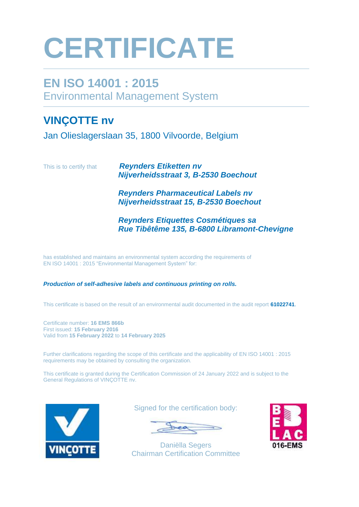# **CERTIFICATE**

## **EN ISO 14001 : 2015** Environmental Management System

### **VINÇOTTE nv**

Jan Olieslagerslaan 35, 1800 Vilvoorde, Belgium

This is to certify that *Reynders Etiketten nv Nijverheidsstraat 3, B-2530 Boechout* 

> *Reynders Pharmaceutical Labels nv Nijverheidsstraat 15, B-2530 Boechout*

*Reynders Etiquettes Cosmétiques sa Rue Tibêtême 135, B-6800 Libramont-Chevigne*

has established and maintains an environmental system according the requirements of EN ISO 14001 : 2015 "Environmental Management System" for:

#### *Production of self-adhesive labels and continuous printing on rolls.*

This certificate is based on the result of an environmental audit documented in the audit report **61022741**.

Certificate number: **16 EMS 866b** First issued: **15 February 2016** Valid from **15 February 2022** to **14 February 2025**

Further clarifications regarding the scope of this certificate and the applicability of EN ISO 14001 : 2015 requirements may be obtained by consulting the organization.

This certificate is granted during the Certification Commission of 24 January 2022 and is subject to the General Regulations of VINÇOTTE nv.



Signed for the certification body:

Daniëlla Segers Chairman Certification Committee

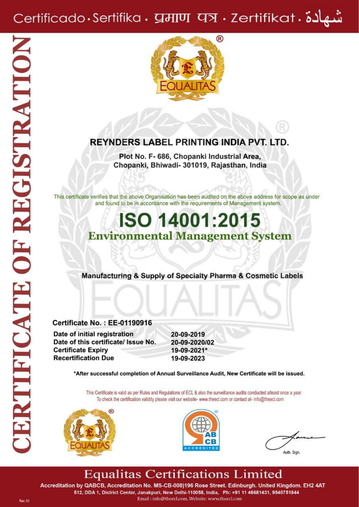## شهادة . Certificado Sertifika . प्रमाण पत्र . Zertifikat



#### **REYNDERS LABEL PRINTING INDIA PVT. LTD.**

Plot No. F- 686, Chopanki Industrial Area, Chopanki, Bhiwadi- 301019, Rajasthan, India

This certificate verifies that the above Organisation has been audited on the above address for scope as under and found to be in accordance with the requirements of Management system.

## **ISO 14001:2015 Environmental Management System**

Manufacturing & Supply of Specialty Pharma & Cosmetic Labels

**Certificate No.: EE-01190916** Date of initial registration Date of this certificate/ Issue No.

20-09-2019 20-09-2020/02 19-09-2021\* 19-09-2023

\*After successful completion of Annual Surveillance Audit, New Certificate will be issued.

This Certificate is valid as per Rules and Regulations of ECL & also the surveillance audits conducted atleast once a year. To check the certification validity please visit our website- www.theecl.com or contact at- info@theecl.com



**Certificate Expiry** 

**Recertification Due** 



Auth. Sign.

## **Equalitas Certifications Limited**

Accreditation by QABCB, Accreditation No. MS-CB-008)196 Rose Street. Edinburgh. United Kingdom. EH2 4AT 512, DDA 1, District Center, Janakpuri, New Delhi-110058, India, Ph: +91 11 46681431, 9540751844 Email: info@theecl.com, Website: www.theecl.com